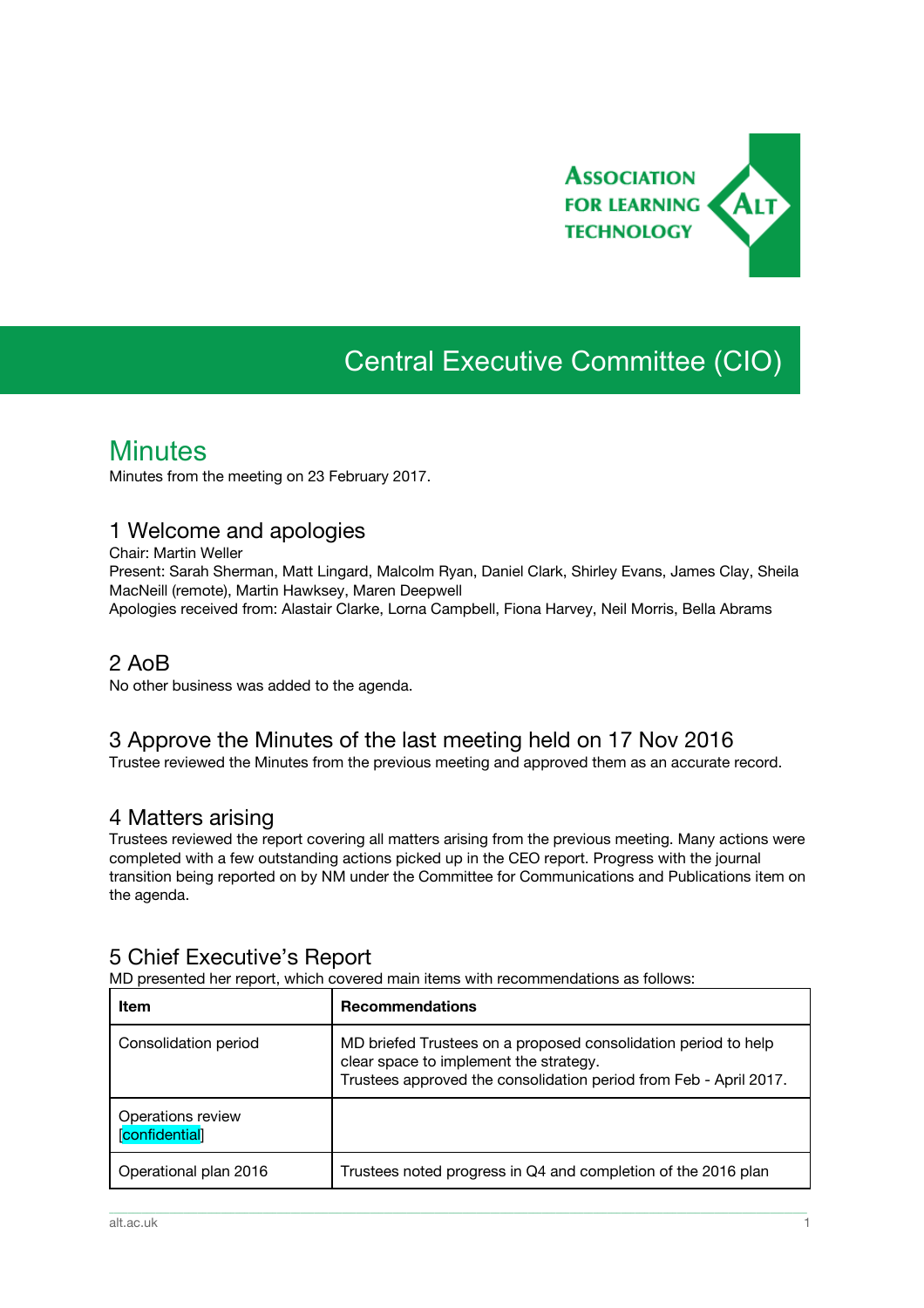

# Central Executive Committee (CIO)

# **Minutes**

Minutes from the meeting on 23 February 2017.

### 1 Welcome and apologies

Chair: Martin Weller

Present: Sarah Sherman, Matt Lingard, Malcolm Ryan, Daniel Clark, Shirley Evans, James Clay, Sheila MacNeill (remote), Martin Hawksey, Maren Deepwell

Apologies received from: Alastair Clarke, Lorna Campbell, Fiona Harvey, Neil Morris, Bella Abrams

### 2 AoB

No other business was added to the agenda.

### 3 Approve the Minutes of the last meeting held on 17 Nov 2016

Trustee reviewed the Minutes from the previous meeting and approved them as an accurate record.

#### 4 Matters arising

Trustees reviewed the report covering all matters arising from the previous meeting. Many actions were completed with a few outstanding actions picked up in the CEO report. Progress with the journal transition being reported on by NM under the Committee for Communications and Publications item on the agenda.

### 5 Chief Executive's Report

MD presented her report, which covered main items with recommendations as follows:

| Item                                | <b>Recommendations</b>                                                                                                                                                        |
|-------------------------------------|-------------------------------------------------------------------------------------------------------------------------------------------------------------------------------|
| Consolidation period                | MD briefed Trustees on a proposed consolidation period to help<br>clear space to implement the strategy.<br>Trustees approved the consolidation period from Feb - April 2017. |
| Operations review<br>[confidential] |                                                                                                                                                                               |
| Operational plan 2016               | Trustees noted progress in Q4 and completion of the 2016 plan                                                                                                                 |

\_\_\_\_\_\_\_\_\_\_\_\_\_\_\_\_\_\_\_\_\_\_\_\_\_\_\_\_\_\_\_\_\_\_\_\_\_\_\_\_\_\_\_\_\_\_\_\_\_\_\_\_\_\_\_\_\_\_\_\_\_\_\_\_\_\_\_\_\_\_\_\_\_\_\_\_\_\_\_\_\_\_\_\_\_\_\_\_\_\_\_\_\_\_\_\_\_\_\_\_\_\_\_\_\_\_\_\_\_\_\_\_\_\_\_\_\_\_\_\_\_\_\_\_\_\_\_\_\_\_\_\_\_\_\_\_\_\_\_\_\_\_\_\_\_\_\_\_\_\_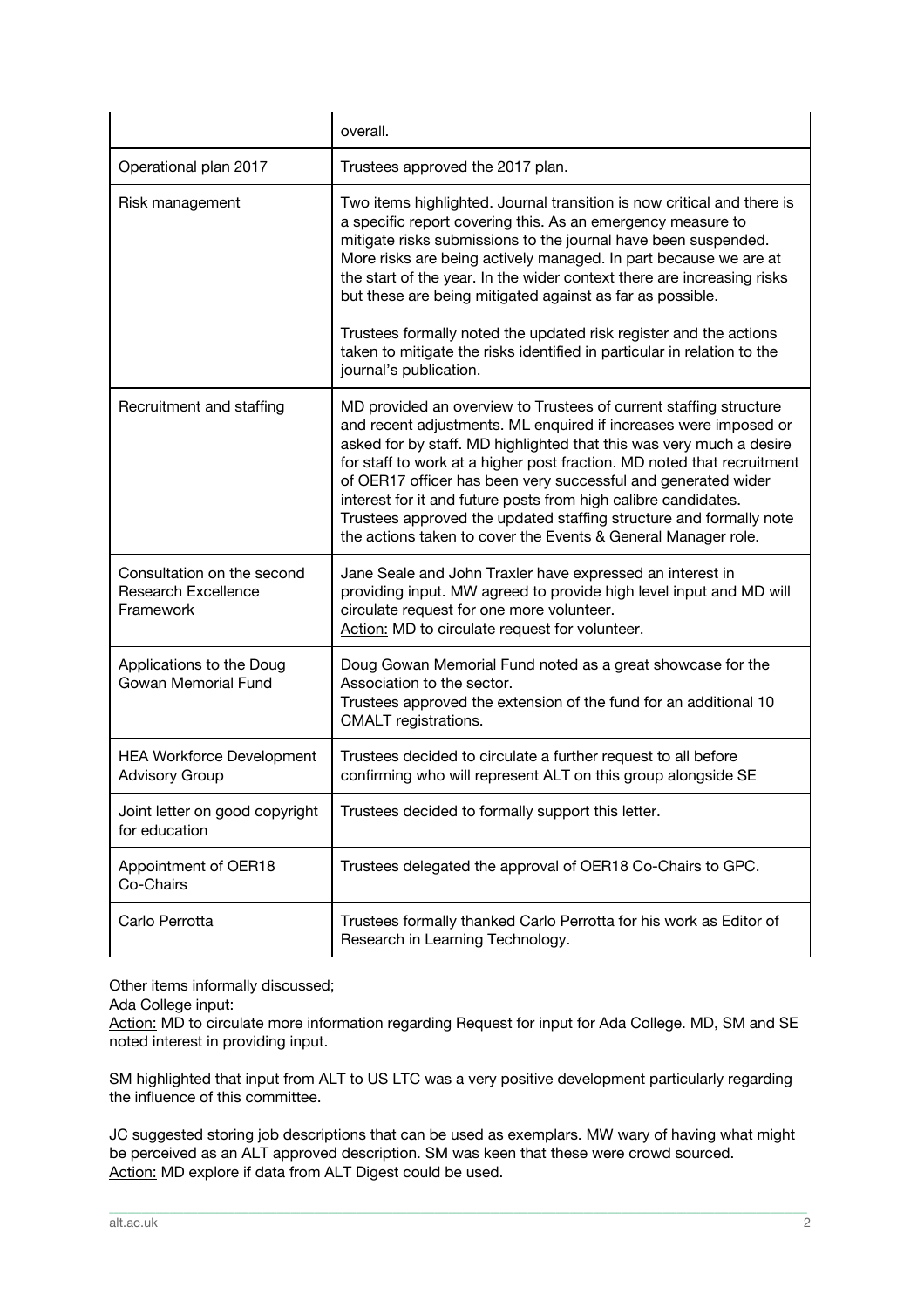|                                                                       | overall.                                                                                                                                                                                                                                                                                                                                                                                                                                                                                                                                                           |
|-----------------------------------------------------------------------|--------------------------------------------------------------------------------------------------------------------------------------------------------------------------------------------------------------------------------------------------------------------------------------------------------------------------------------------------------------------------------------------------------------------------------------------------------------------------------------------------------------------------------------------------------------------|
| Operational plan 2017                                                 | Trustees approved the 2017 plan.                                                                                                                                                                                                                                                                                                                                                                                                                                                                                                                                   |
| Risk management                                                       | Two items highlighted. Journal transition is now critical and there is<br>a specific report covering this. As an emergency measure to<br>mitigate risks submissions to the journal have been suspended.<br>More risks are being actively managed. In part because we are at<br>the start of the year. In the wider context there are increasing risks<br>but these are being mitigated against as far as possible.<br>Trustees formally noted the updated risk register and the actions<br>taken to mitigate the risks identified in particular in relation to the |
|                                                                       | journal's publication.                                                                                                                                                                                                                                                                                                                                                                                                                                                                                                                                             |
| Recruitment and staffing                                              | MD provided an overview to Trustees of current staffing structure<br>and recent adjustments. ML enquired if increases were imposed or<br>asked for by staff. MD highlighted that this was very much a desire<br>for staff to work at a higher post fraction. MD noted that recruitment<br>of OER17 officer has been very successful and generated wider<br>interest for it and future posts from high calibre candidates.<br>Trustees approved the updated staffing structure and formally note<br>the actions taken to cover the Events & General Manager role.   |
| Consultation on the second<br><b>Research Excellence</b><br>Framework | Jane Seale and John Traxler have expressed an interest in<br>providing input. MW agreed to provide high level input and MD will<br>circulate request for one more volunteer.<br>Action: MD to circulate request for volunteer.                                                                                                                                                                                                                                                                                                                                     |
| Applications to the Doug<br>Gowan Memorial Fund                       | Doug Gowan Memorial Fund noted as a great showcase for the<br>Association to the sector.<br>Trustees approved the extension of the fund for an additional 10<br>CMALT registrations.                                                                                                                                                                                                                                                                                                                                                                               |
| <b>HEA Workforce Development</b><br><b>Advisory Group</b>             | Trustees decided to circulate a further request to all before<br>confirming who will represent ALT on this group alongside SE                                                                                                                                                                                                                                                                                                                                                                                                                                      |
| Joint letter on good copyright<br>for education                       | Trustees decided to formally support this letter.                                                                                                                                                                                                                                                                                                                                                                                                                                                                                                                  |
| Appointment of OER18<br>Co-Chairs                                     | Trustees delegated the approval of OER18 Co-Chairs to GPC.                                                                                                                                                                                                                                                                                                                                                                                                                                                                                                         |
| Carlo Perrotta                                                        | Trustees formally thanked Carlo Perrotta for his work as Editor of<br>Research in Learning Technology.                                                                                                                                                                                                                                                                                                                                                                                                                                                             |

Other items informally discussed;

Ada College input:

Action: MD to circulate more information regarding Request for input for Ada College. MD, SM and SE noted interest in providing input.

SM highlighted that input from ALT to US LTC was a very positive development particularly regarding the influence of this committee.

JC suggested storing job descriptions that can be used as exemplars. MW wary of having what might be perceived as an ALT approved description. SM was keen that these were crowd sourced. Action: MD explore if data from ALT Digest could be used.

\_\_\_\_\_\_\_\_\_\_\_\_\_\_\_\_\_\_\_\_\_\_\_\_\_\_\_\_\_\_\_\_\_\_\_\_\_\_\_\_\_\_\_\_\_\_\_\_\_\_\_\_\_\_\_\_\_\_\_\_\_\_\_\_\_\_\_\_\_\_\_\_\_\_\_\_\_\_\_\_\_\_\_\_\_\_\_\_\_\_\_\_\_\_\_\_\_\_\_\_\_\_\_\_\_\_\_\_\_\_\_\_\_\_\_\_\_\_\_\_\_\_\_\_\_\_\_\_\_\_\_\_\_\_\_\_\_\_\_\_\_\_\_\_\_\_\_\_\_\_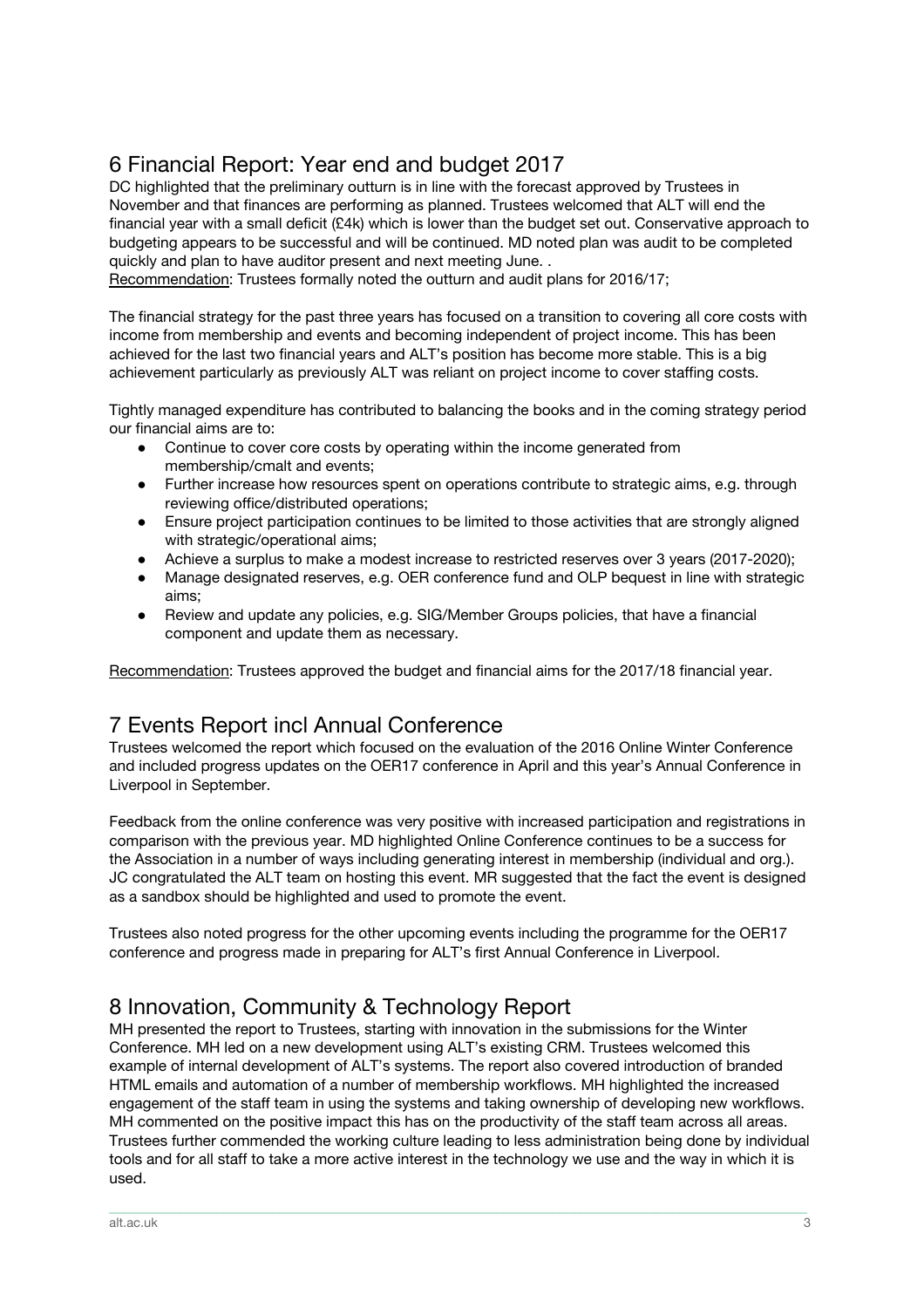# 6 Financial Report: Year end and budget 2017

DC highlighted that the preliminary outturn is in line with the forecast approved by Trustees in November and that finances are performing as planned. Trustees welcomed that ALT will end the financial year with a small deficit (£4k) which is lower than the budget set out. Conservative approach to budgeting appears to be successful and will be continued. MD noted plan was audit to be completed quickly and plan to have auditor present and next meeting June. .

Recommendation: Trustees formally noted the outturn and audit plans for 2016/17;

The financial strategy for the past three years has focused on a transition to covering all core costs with income from membership and events and becoming independent of project income. This has been achieved for the last two financial years and ALT's position has become more stable. This is a big achievement particularly as previously ALT was reliant on project income to cover staffing costs.

Tightly managed expenditure has contributed to balancing the books and in the coming strategy period our financial aims are to:

- Continue to cover core costs by operating within the income generated from membership/cmalt and events;
- Further increase how resources spent on operations contribute to strategic aims, e.g. through reviewing office/distributed operations;
- Ensure project participation continues to be limited to those activities that are strongly aligned with strategic/operational aims;
- Achieve a surplus to make a modest increase to restricted reserves over 3 years (2017-2020);
- Manage designated reserves, e.g. OER conference fund and OLP bequest in line with strategic aims;
- Review and update any policies, e.g. SIG/Member Groups policies, that have a financial component and update them as necessary.

Recommendation: Trustees approved the budget and financial aims for the 2017/18 financial year.

# 7 Events Report incl Annual Conference

Trustees welcomed the report which focused on the evaluation of the 2016 Online Winter Conference and included progress updates on the OER17 conference in April and this year's Annual Conference in Liverpool in September.

Feedback from the online conference was very positive with increased participation and registrations in comparison with the previous year. MD highlighted Online Conference continues to be a success for the Association in a number of ways including generating interest in membership (individual and org.). JC congratulated the ALT team on hosting this event. MR suggested that the fact the event is designed as a sandbox should be highlighted and used to promote the event.

Trustees also noted progress for the other upcoming events including the programme for the OER17 conference and progress made in preparing for ALT's first Annual Conference in Liverpool.

## 8 Innovation, Community & Technology Report

MH presented the report to Trustees, starting with innovation in the submissions for the Winter Conference. MH led on a new development using ALT's existing CRM. Trustees welcomed this example of internal development of ALT's systems. The report also covered introduction of branded HTML emails and automation of a number of membership workflows. MH highlighted the increased engagement of the staff team in using the systems and taking ownership of developing new workflows. MH commented on the positive impact this has on the productivity of the staff team across all areas. Trustees further commended the working culture leading to less administration being done by individual tools and for all staff to take a more active interest in the technology we use and the way in which it is used.

\_\_\_\_\_\_\_\_\_\_\_\_\_\_\_\_\_\_\_\_\_\_\_\_\_\_\_\_\_\_\_\_\_\_\_\_\_\_\_\_\_\_\_\_\_\_\_\_\_\_\_\_\_\_\_\_\_\_\_\_\_\_\_\_\_\_\_\_\_\_\_\_\_\_\_\_\_\_\_\_\_\_\_\_\_\_\_\_\_\_\_\_\_\_\_\_\_\_\_\_\_\_\_\_\_\_\_\_\_\_\_\_\_\_\_\_\_\_\_\_\_\_\_\_\_\_\_\_\_\_\_\_\_\_\_\_\_\_\_\_\_\_\_\_\_\_\_\_\_\_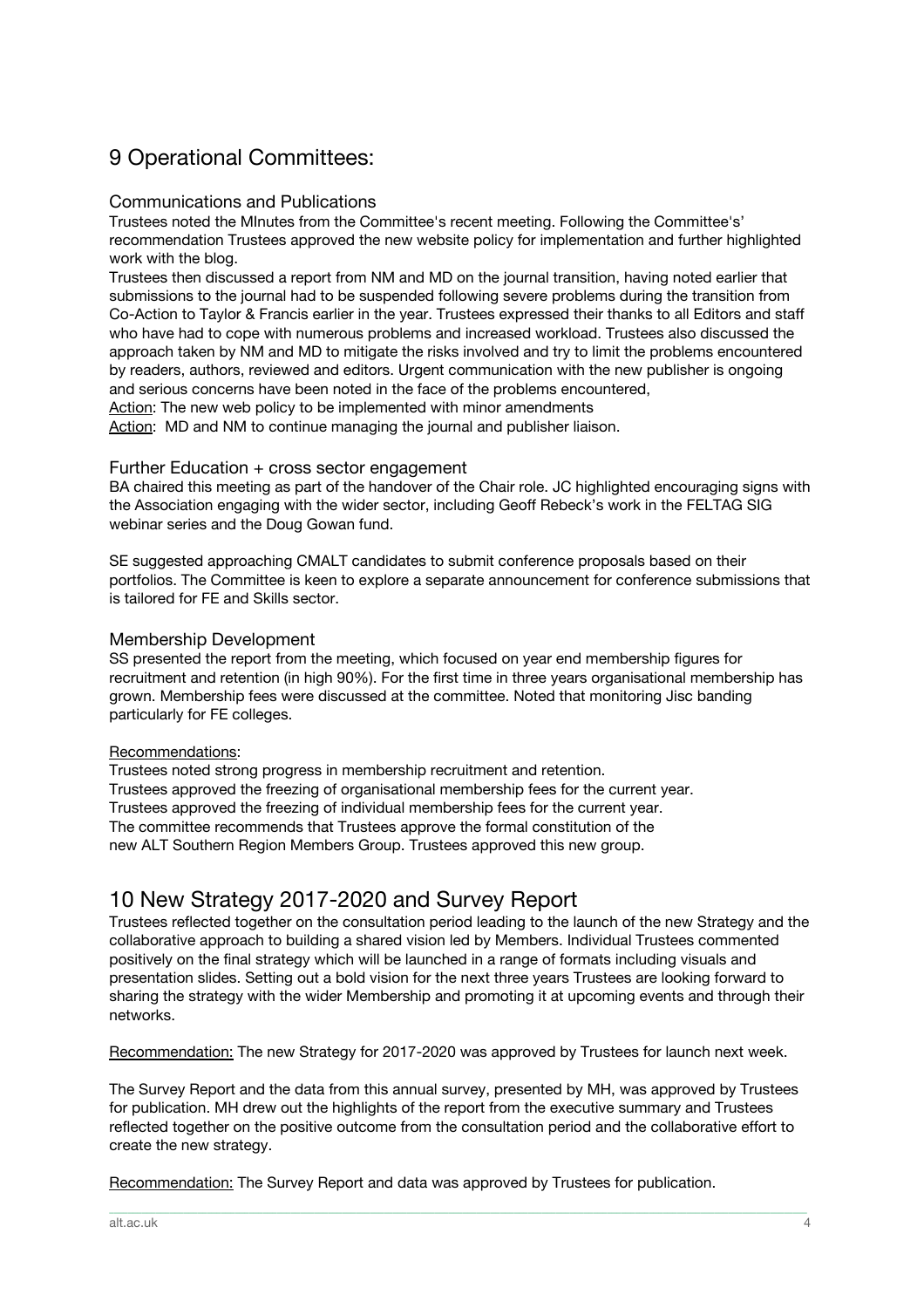# 9 Operational Committees:

#### Communications and Publications

Trustees noted the MInutes from the Committee's recent meeting. Following the Committee's' recommendation Trustees approved the new website policy for implementation and further highlighted work with the blog.

Trustees then discussed a report from NM and MD on the journal transition, having noted earlier that submissions to the journal had to be suspended following severe problems during the transition from Co-Action to Taylor & Francis earlier in the year. Trustees expressed their thanks to all Editors and staff who have had to cope with numerous problems and increased workload. Trustees also discussed the approach taken by NM and MD to mitigate the risks involved and try to limit the problems encountered by readers, authors, reviewed and editors. Urgent communication with the new publisher is ongoing and serious concerns have been noted in the face of the problems encountered, Action: The new web policy to be implemented with minor amendments

Action: MD and NM to continue managing the journal and publisher liaison.

#### Further Education + cross sector engagement

BA chaired this meeting as part of the handover of the Chair role. JC highlighted encouraging signs with the Association engaging with the wider sector, including Geoff Rebeck's work in the FELTAG SIG webinar series and the Doug Gowan fund.

SE suggested approaching CMALT candidates to submit conference proposals based on their portfolios. The Committee is keen to explore a separate announcement for conference submissions that is tailored for FE and Skills sector.

#### Membership Development

SS presented the report from the meeting, which focused on year end membership figures for recruitment and retention (in high 90%). For the first time in three years organisational membership has grown. Membership fees were discussed at the committee. Noted that monitoring Jisc banding particularly for FE colleges.

#### Recommendations:

Trustees noted strong progress in membership recruitment and retention. Trustees approved the freezing of organisational membership fees for the current year. Trustees approved the freezing of individual membership fees for the current year. The committee recommends that Trustees approve the formal constitution of the new ALT Southern Region Members Group. Trustees approved this new group.

## 10 New Strategy 2017-2020 and Survey Report

Trustees reflected together on the consultation period leading to the launch of the new Strategy and the collaborative approach to building a shared vision led by Members. Individual Trustees commented positively on the final strategy which will be launched in a range of formats including visuals and presentation slides. Setting out a bold vision for the next three years Trustees are looking forward to sharing the strategy with the wider Membership and promoting it at upcoming events and through their networks.

Recommendation: The new Strategy for 2017-2020 was approved by Trustees for launch next week.

The Survey Report and the data from this annual survey, presented by MH, was approved by Trustees for publication. MH drew out the highlights of the report from the executive summary and Trustees reflected together on the positive outcome from the consultation period and the collaborative effort to create the new strategy.

\_\_\_\_\_\_\_\_\_\_\_\_\_\_\_\_\_\_\_\_\_\_\_\_\_\_\_\_\_\_\_\_\_\_\_\_\_\_\_\_\_\_\_\_\_\_\_\_\_\_\_\_\_\_\_\_\_\_\_\_\_\_\_\_\_\_\_\_\_\_\_\_\_\_\_\_\_\_\_\_\_\_\_\_\_\_\_\_\_\_\_\_\_\_\_\_\_\_\_\_\_\_\_\_\_\_\_\_\_\_\_\_\_\_\_\_\_\_\_\_\_\_\_\_\_\_\_\_\_\_\_\_\_\_\_\_\_\_\_\_\_\_\_\_\_\_\_\_\_\_

Recommendation: The Survey Report and data was approved by Trustees for publication.